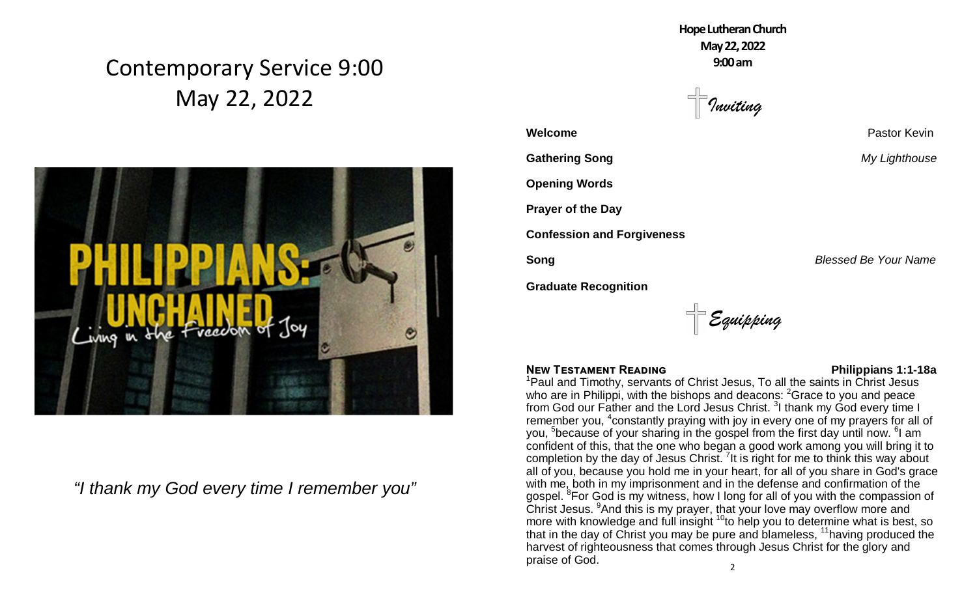## Contemporary Service 9:00 May 22, 2022



*"I thank my God every time I remember you"*

**HopeLutheranChurch May22,2022 9:00am**

*Inviting*

**Welcome Pastor Kevin Gathering Song** *My Lighthouse* **Opening Words Prayer of the Day Confession and Forgiveness Song Blessed Be Your Name** 

**Graduate Recognition**

*Equipping*

## **NEW TESTAMENT READING NEW TESTAMENT READING**

 $\mathfrak{p}$ <sup>1</sup>Paul and Timothy, servants of Christ Jesus, To all the saints in Christ Jesus who are in Philippi, with the bishops and deacons: <sup>2</sup>Grace to you and peace from God our Father and the Lord Jesus Christ. <sup>3</sup>I thank my God every time I remember you, <sup>4</sup>constantly praying with joy in every one of my prayers for all of you, <sup>5</sup>because of your sharing in the gospel from the first day until now. <sup>6</sup>I am confident of this, that the one who began a good work among you will bring it to completion by the day of Jesus Christ.  $7$ It is right for me to think this way about all of you, because you hold me in your heart, for all of you share in God's grace with me, both in my imprisonment and in the defense and confirmation of the gospel. <sup>8</sup>For God is my witness, how I long for all of you with the compassion of Christ Jesus. <sup>9</sup>And this is my prayer, that your love may overflow more and more with knowledge and full insight  $10$  to help you to determine what is best, so that in the day of Christ you may be pure and blameless, <sup>11</sup>having produced the harvest of righteousness that comes through Jesus Christ for the glory and praise of God.